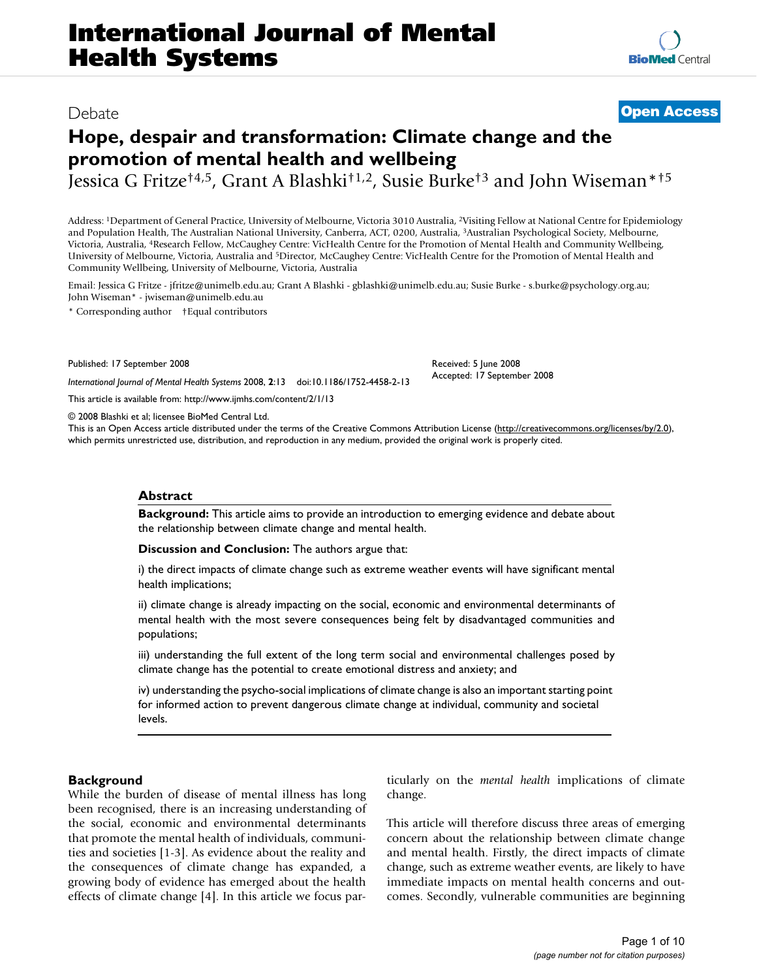## Debate **[Open Access](http://www.biomedcentral.com/info/about/charter/)**

# **Hope, despair and transformation: Climate change and the promotion of mental health and wellbeing**

Jessica G Fritze†4,5, Grant A Blashki†1,2, Susie Burke†3 and John Wiseman\*†5

Address: 1Department of General Practice, University of Melbourne, Victoria 3010 Australia, 2Visiting Fellow at National Centre for Epidemiology and Population Health, The Australian National University, Canberra, ACT, 0200, Australia, 3Australian Psychological Society, Melbourne, Victoria, Australia, 4Research Fellow, McCaughey Centre: VicHealth Centre for the Promotion of Mental Health and Community Wellbeing, University of Melbourne, Victoria, Australia and 5Director, McCaughey Centre: VicHealth Centre for the Promotion of Mental Health and Community Wellbeing, University of Melbourne, Victoria, Australia

Email: Jessica G Fritze - jfritze@unimelb.edu.au; Grant A Blashki - gblashki@unimelb.edu.au; Susie Burke - s.burke@psychology.org.au; John Wiseman\* - jwiseman@unimelb.edu.au

\* Corresponding author †Equal contributors

Published: 17 September 2008

*International Journal of Mental Health Systems* 2008, **2**:13 doi:10.1186/1752-4458-2-13

[This article is available from: http://www.ijmhs.com/content/2/1/13](http://www.ijmhs.com/content/2/1/13)

© 2008 Blashki et al; licensee BioMed Central Ltd.

This is an Open Access article distributed under the terms of the Creative Commons Attribution License [\(http://creativecommons.org/licenses/by/2.0\)](http://creativecommons.org/licenses/by/2.0), which permits unrestricted use, distribution, and reproduction in any medium, provided the original work is properly cited.

Received: 5 June 2008 Accepted: 17 September 2008

#### **Abstract**

**Background:** This article aims to provide an introduction to emerging evidence and debate about the relationship between climate change and mental health.

**Discussion and Conclusion:** The authors argue that:

i) the direct impacts of climate change such as extreme weather events will have significant mental health implications;

ii) climate change is already impacting on the social, economic and environmental determinants of mental health with the most severe consequences being felt by disadvantaged communities and populations;

iii) understanding the full extent of the long term social and environmental challenges posed by climate change has the potential to create emotional distress and anxiety; and

iv) understanding the psycho-social implications of climate change is also an important starting point for informed action to prevent dangerous climate change at individual, community and societal levels.

#### **Background**

While the burden of disease of mental illness has long been recognised, there is an increasing understanding of the social, economic and environmental determinants that promote the mental health of individuals, communities and societies [1-3]. As evidence about the reality and the consequences of climate change has expanded, a growing body of evidence has emerged about the health effects of climate change [4]. In this article we focus particularly on the *mental health* implications of climate change.

This article will therefore discuss three areas of emerging concern about the relationship between climate change and mental health. Firstly, the direct impacts of climate change, such as extreme weather events, are likely to have immediate impacts on mental health concerns and outcomes. Secondly, vulnerable communities are beginning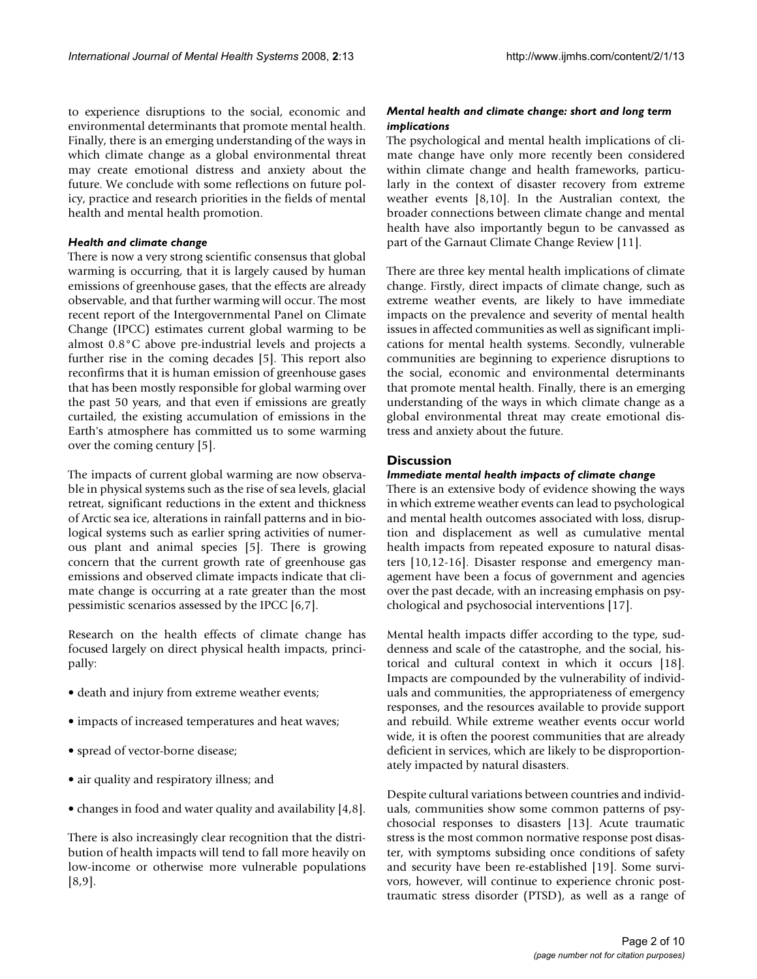to experience disruptions to the social, economic and environmental determinants that promote mental health. Finally, there is an emerging understanding of the ways in which climate change as a global environmental threat may create emotional distress and anxiety about the future. We conclude with some reflections on future policy, practice and research priorities in the fields of mental health and mental health promotion.

#### *Health and climate change*

There is now a very strong scientific consensus that global warming is occurring, that it is largely caused by human emissions of greenhouse gases, that the effects are already observable, and that further warming will occur. The most recent report of the Intergovernmental Panel on Climate Change (IPCC) estimates current global warming to be almost 0.8°C above pre-industrial levels and projects a further rise in the coming decades [5]. This report also reconfirms that it is human emission of greenhouse gases that has been mostly responsible for global warming over the past 50 years, and that even if emissions are greatly curtailed, the existing accumulation of emissions in the Earth's atmosphere has committed us to some warming over the coming century [5].

The impacts of current global warming are now observable in physical systems such as the rise of sea levels, glacial retreat, significant reductions in the extent and thickness of Arctic sea ice, alterations in rainfall patterns and in biological systems such as earlier spring activities of numerous plant and animal species [5]. There is growing concern that the current growth rate of greenhouse gas emissions and observed climate impacts indicate that climate change is occurring at a rate greater than the most pessimistic scenarios assessed by the IPCC [6,7].

Research on the health effects of climate change has focused largely on direct physical health impacts, principally:

- death and injury from extreme weather events;
- impacts of increased temperatures and heat waves;
- spread of vector-borne disease;
- air quality and respiratory illness; and
- changes in food and water quality and availability [4,8].

There is also increasingly clear recognition that the distribution of health impacts will tend to fall more heavily on low-income or otherwise more vulnerable populations [8,9].

#### *Mental health and climate change: short and long term implications*

The psychological and mental health implications of climate change have only more recently been considered within climate change and health frameworks, particularly in the context of disaster recovery from extreme weather events [8,10]. In the Australian context, the broader connections between climate change and mental health have also importantly begun to be canvassed as part of the Garnaut Climate Change Review [11].

There are three key mental health implications of climate change. Firstly, direct impacts of climate change, such as extreme weather events, are likely to have immediate impacts on the prevalence and severity of mental health issues in affected communities as well as significant implications for mental health systems. Secondly, vulnerable communities are beginning to experience disruptions to the social, economic and environmental determinants that promote mental health. Finally, there is an emerging understanding of the ways in which climate change as a global environmental threat may create emotional distress and anxiety about the future.

#### **Discussion**

#### *Immediate mental health impacts of climate change*

There is an extensive body of evidence showing the ways in which extreme weather events can lead to psychological and mental health outcomes associated with loss, disruption and displacement as well as cumulative mental health impacts from repeated exposure to natural disasters [10,12-16]. Disaster response and emergency management have been a focus of government and agencies over the past decade, with an increasing emphasis on psychological and psychosocial interventions [17].

Mental health impacts differ according to the type, suddenness and scale of the catastrophe, and the social, historical and cultural context in which it occurs [18]. Impacts are compounded by the vulnerability of individuals and communities, the appropriateness of emergency responses, and the resources available to provide support and rebuild. While extreme weather events occur world wide, it is often the poorest communities that are already deficient in services, which are likely to be disproportionately impacted by natural disasters.

Despite cultural variations between countries and individuals, communities show some common patterns of psychosocial responses to disasters [13]. Acute traumatic stress is the most common normative response post disaster, with symptoms subsiding once conditions of safety and security have been re-established [19]. Some survivors, however, will continue to experience chronic posttraumatic stress disorder (PTSD), as well as a range of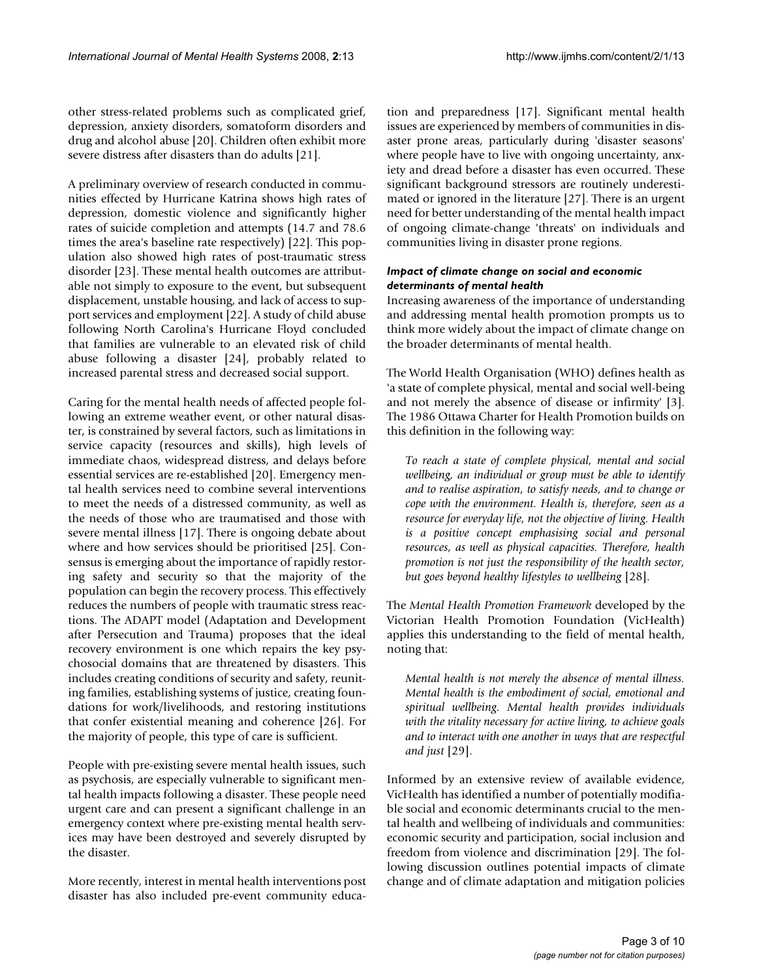other stress-related problems such as complicated grief, depression, anxiety disorders, somatoform disorders and drug and alcohol abuse [20]. Children often exhibit more severe distress after disasters than do adults [21].

A preliminary overview of research conducted in communities effected by Hurricane Katrina shows high rates of depression, domestic violence and significantly higher rates of suicide completion and attempts (14.7 and 78.6 times the area's baseline rate respectively) [22]. This population also showed high rates of post-traumatic stress disorder [23]. These mental health outcomes are attributable not simply to exposure to the event, but subsequent displacement, unstable housing, and lack of access to support services and employment [22]. A study of child abuse following North Carolina's Hurricane Floyd concluded that families are vulnerable to an elevated risk of child abuse following a disaster [24], probably related to increased parental stress and decreased social support.

Caring for the mental health needs of affected people following an extreme weather event, or other natural disaster, is constrained by several factors, such as limitations in service capacity (resources and skills), high levels of immediate chaos, widespread distress, and delays before essential services are re-established [20]. Emergency mental health services need to combine several interventions to meet the needs of a distressed community, as well as the needs of those who are traumatised and those with severe mental illness [17]. There is ongoing debate about where and how services should be prioritised [25]. Consensus is emerging about the importance of rapidly restoring safety and security so that the majority of the population can begin the recovery process. This effectively reduces the numbers of people with traumatic stress reactions. The ADAPT model (Adaptation and Development after Persecution and Trauma) proposes that the ideal recovery environment is one which repairs the key psychosocial domains that are threatened by disasters. This includes creating conditions of security and safety, reuniting families, establishing systems of justice, creating foundations for work/livelihoods, and restoring institutions that confer existential meaning and coherence [26]. For the majority of people, this type of care is sufficient.

People with pre-existing severe mental health issues, such as psychosis, are especially vulnerable to significant mental health impacts following a disaster. These people need urgent care and can present a significant challenge in an emergency context where pre-existing mental health services may have been destroyed and severely disrupted by the disaster.

More recently, interest in mental health interventions post disaster has also included pre-event community education and preparedness [17]. Significant mental health issues are experienced by members of communities in disaster prone areas, particularly during 'disaster seasons' where people have to live with ongoing uncertainty, anxiety and dread before a disaster has even occurred. These significant background stressors are routinely underestimated or ignored in the literature [27]. There is an urgent need for better understanding of the mental health impact of ongoing climate-change 'threats' on individuals and communities living in disaster prone regions.

### *Impact of climate change on social and economic determinants of mental health*

Increasing awareness of the importance of understanding and addressing mental health promotion prompts us to think more widely about the impact of climate change on the broader determinants of mental health.

The World Health Organisation (WHO) defines health as 'a state of complete physical, mental and social well-being and not merely the absence of disease or infirmity' [3]. The 1986 Ottawa Charter for Health Promotion builds on this definition in the following way:

*To reach a state of complete physical, mental and social wellbeing, an individual or group must be able to identify and to realise aspiration, to satisfy needs, and to change or cope with the environment. Health is, therefore, seen as a resource for everyday life, not the objective of living. Health is a positive concept emphasising social and personal resources, as well as physical capacities. Therefore, health promotion is not just the responsibility of the health sector, but goes beyond healthy lifestyles to wellbeing* [28].

The *Mental Health Promotion Framework* developed by the Victorian Health Promotion Foundation (VicHealth) applies this understanding to the field of mental health, noting that:

*Mental health is not merely the absence of mental illness. Mental health is the embodiment of social, emotional and spiritual wellbeing. Mental health provides individuals with the vitality necessary for active living, to achieve goals and to interact with one another in ways that are respectful and just* [29].

Informed by an extensive review of available evidence, VicHealth has identified a number of potentially modifiable social and economic determinants crucial to the mental health and wellbeing of individuals and communities: economic security and participation, social inclusion and freedom from violence and discrimination [29]. The following discussion outlines potential impacts of climate change and of climate adaptation and mitigation policies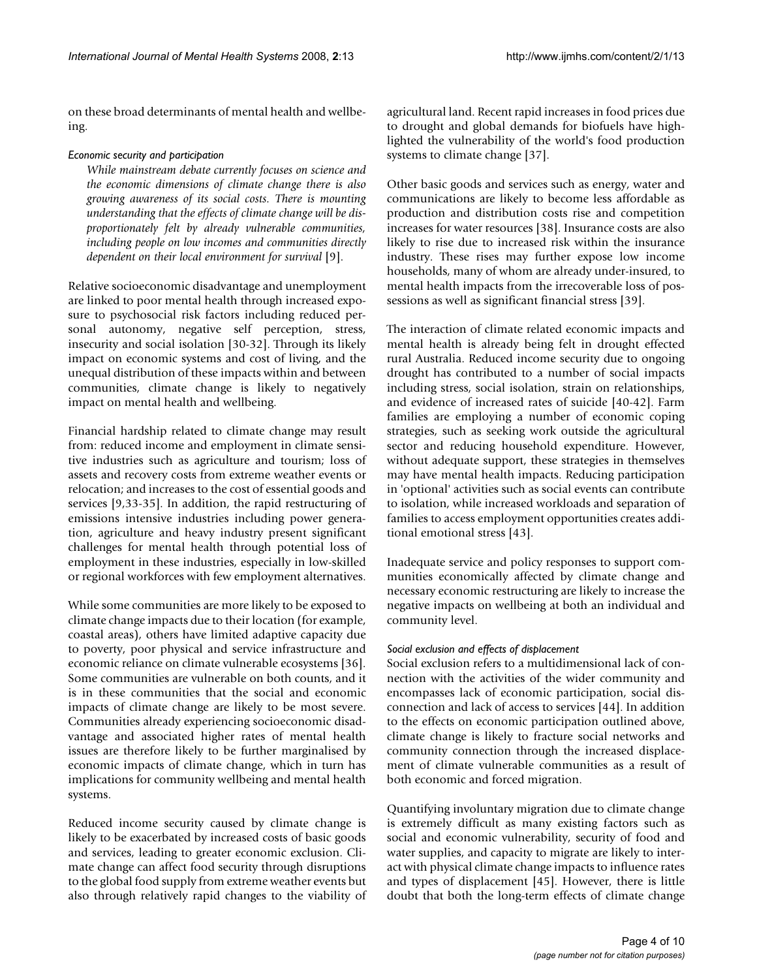on these broad determinants of mental health and wellbeing.

#### *Economic security and participation*

*While mainstream debate currently focuses on science and the economic dimensions of climate change there is also growing awareness of its social costs. There is mounting understanding that the effects of climate change will be disproportionately felt by already vulnerable communities, including people on low incomes and communities directly dependent on their local environment for survival* [9].

Relative socioeconomic disadvantage and unemployment are linked to poor mental health through increased exposure to psychosocial risk factors including reduced personal autonomy, negative self perception, stress, insecurity and social isolation [30-32]. Through its likely impact on economic systems and cost of living, and the unequal distribution of these impacts within and between communities, climate change is likely to negatively impact on mental health and wellbeing.

Financial hardship related to climate change may result from: reduced income and employment in climate sensitive industries such as agriculture and tourism; loss of assets and recovery costs from extreme weather events or relocation; and increases to the cost of essential goods and services [9,33-35]. In addition, the rapid restructuring of emissions intensive industries including power generation, agriculture and heavy industry present significant challenges for mental health through potential loss of employment in these industries, especially in low-skilled or regional workforces with few employment alternatives.

While some communities are more likely to be exposed to climate change impacts due to their location (for example, coastal areas), others have limited adaptive capacity due to poverty, poor physical and service infrastructure and economic reliance on climate vulnerable ecosystems [36]. Some communities are vulnerable on both counts, and it is in these communities that the social and economic impacts of climate change are likely to be most severe. Communities already experiencing socioeconomic disadvantage and associated higher rates of mental health issues are therefore likely to be further marginalised by economic impacts of climate change, which in turn has implications for community wellbeing and mental health systems.

Reduced income security caused by climate change is likely to be exacerbated by increased costs of basic goods and services, leading to greater economic exclusion. Climate change can affect food security through disruptions to the global food supply from extreme weather events but also through relatively rapid changes to the viability of agricultural land. Recent rapid increases in food prices due to drought and global demands for biofuels have highlighted the vulnerability of the world's food production systems to climate change [37].

Other basic goods and services such as energy, water and communications are likely to become less affordable as production and distribution costs rise and competition increases for water resources [38]. Insurance costs are also likely to rise due to increased risk within the insurance industry. These rises may further expose low income households, many of whom are already under-insured, to mental health impacts from the irrecoverable loss of possessions as well as significant financial stress [39].

The interaction of climate related economic impacts and mental health is already being felt in drought effected rural Australia. Reduced income security due to ongoing drought has contributed to a number of social impacts including stress, social isolation, strain on relationships, and evidence of increased rates of suicide [40-42]. Farm families are employing a number of economic coping strategies, such as seeking work outside the agricultural sector and reducing household expenditure. However, without adequate support, these strategies in themselves may have mental health impacts. Reducing participation in 'optional' activities such as social events can contribute to isolation, while increased workloads and separation of families to access employment opportunities creates additional emotional stress [43].

Inadequate service and policy responses to support communities economically affected by climate change and necessary economic restructuring are likely to increase the negative impacts on wellbeing at both an individual and community level.

#### *Social exclusion and effects of displacement*

Social exclusion refers to a multidimensional lack of connection with the activities of the wider community and encompasses lack of economic participation, social disconnection and lack of access to services [44]. In addition to the effects on economic participation outlined above, climate change is likely to fracture social networks and community connection through the increased displacement of climate vulnerable communities as a result of both economic and forced migration.

Quantifying involuntary migration due to climate change is extremely difficult as many existing factors such as social and economic vulnerability, security of food and water supplies, and capacity to migrate are likely to interact with physical climate change impacts to influence rates and types of displacement [45]. However, there is little doubt that both the long-term effects of climate change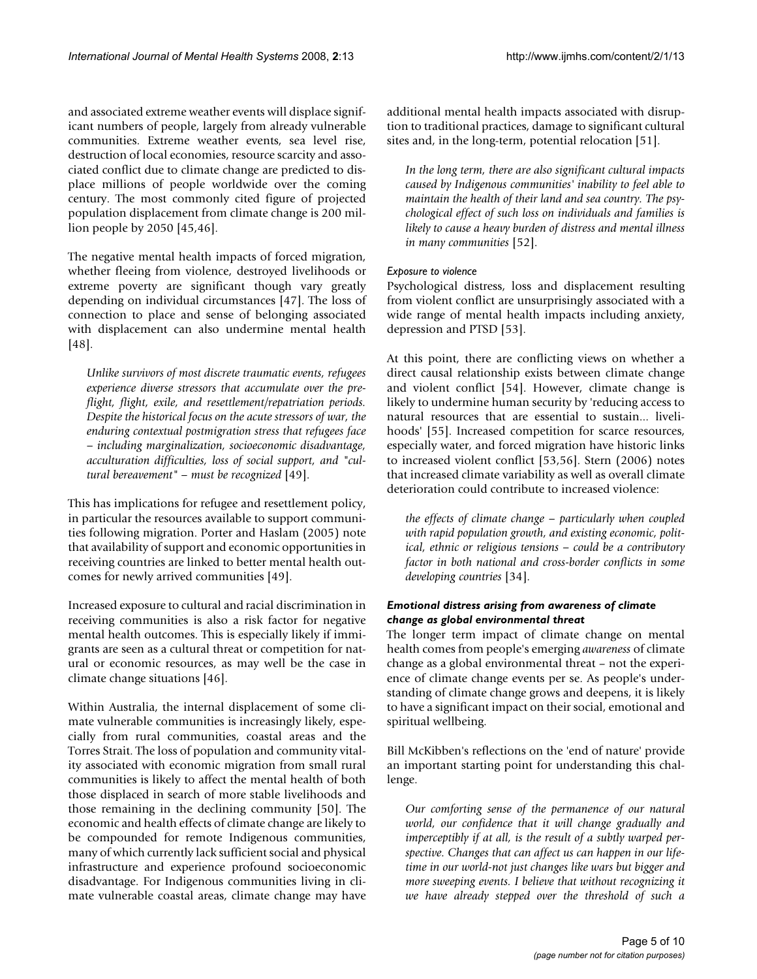and associated extreme weather events will displace significant numbers of people, largely from already vulnerable communities. Extreme weather events, sea level rise, destruction of local economies, resource scarcity and associated conflict due to climate change are predicted to displace millions of people worldwide over the coming century. The most commonly cited figure of projected population displacement from climate change is 200 million people by 2050 [45,46].

The negative mental health impacts of forced migration, whether fleeing from violence, destroyed livelihoods or extreme poverty are significant though vary greatly depending on individual circumstances [47]. The loss of connection to place and sense of belonging associated with displacement can also undermine mental health [48].

*Unlike survivors of most discrete traumatic events, refugees experience diverse stressors that accumulate over the preflight, flight, exile, and resettlement/repatriation periods. Despite the historical focus on the acute stressors of war, the enduring contextual postmigration stress that refugees face – including marginalization, socioeconomic disadvantage, acculturation difficulties, loss of social support, and "cultural bereavement" – must be recognized* [49].

This has implications for refugee and resettlement policy, in particular the resources available to support communities following migration. Porter and Haslam (2005) note that availability of support and economic opportunities in receiving countries are linked to better mental health outcomes for newly arrived communities [49].

Increased exposure to cultural and racial discrimination in receiving communities is also a risk factor for negative mental health outcomes. This is especially likely if immigrants are seen as a cultural threat or competition for natural or economic resources, as may well be the case in climate change situations [46].

Within Australia, the internal displacement of some climate vulnerable communities is increasingly likely, especially from rural communities, coastal areas and the Torres Strait. The loss of population and community vitality associated with economic migration from small rural communities is likely to affect the mental health of both those displaced in search of more stable livelihoods and those remaining in the declining community [50]. The economic and health effects of climate change are likely to be compounded for remote Indigenous communities, many of which currently lack sufficient social and physical infrastructure and experience profound socioeconomic disadvantage. For Indigenous communities living in climate vulnerable coastal areas, climate change may have additional mental health impacts associated with disruption to traditional practices, damage to significant cultural sites and, in the long-term, potential relocation [51].

*In the long term, there are also significant cultural impacts caused by Indigenous communities' inability to feel able to maintain the health of their land and sea country. The psychological effect of such loss on individuals and families is likely to cause a heavy burden of distress and mental illness in many communities* [52].

#### *Exposure to violence*

Psychological distress, loss and displacement resulting from violent conflict are unsurprisingly associated with a wide range of mental health impacts including anxiety, depression and PTSD [53].

At this point, there are conflicting views on whether a direct causal relationship exists between climate change and violent conflict [54]. However, climate change is likely to undermine human security by 'reducing access to natural resources that are essential to sustain... livelihoods' [55]. Increased competition for scarce resources, especially water, and forced migration have historic links to increased violent conflict [53,56]. Stern (2006) notes that increased climate variability as well as overall climate deterioration could contribute to increased violence:

*the effects of climate change – particularly when coupled with rapid population growth, and existing economic, political, ethnic or religious tensions – could be a contributory factor in both national and cross-border conflicts in some developing countries* [34].

#### *Emotional distress arising from awareness of climate change as global environmental threat*

The longer term impact of climate change on mental health comes from people's emerging *awareness* of climate change as a global environmental threat – not the experience of climate change events per se. As people's understanding of climate change grows and deepens, it is likely to have a significant impact on their social, emotional and spiritual wellbeing.

Bill McKibben's reflections on the 'end of nature' provide an important starting point for understanding this challenge.

*Our comforting sense of the permanence of our natural world, our confidence that it will change gradually and imperceptibly if at all, is the result of a subtly warped perspective. Changes that can affect us can happen in our lifetime in our world-not just changes like wars but bigger and more sweeping events. I believe that without recognizing it we have already stepped over the threshold of such a*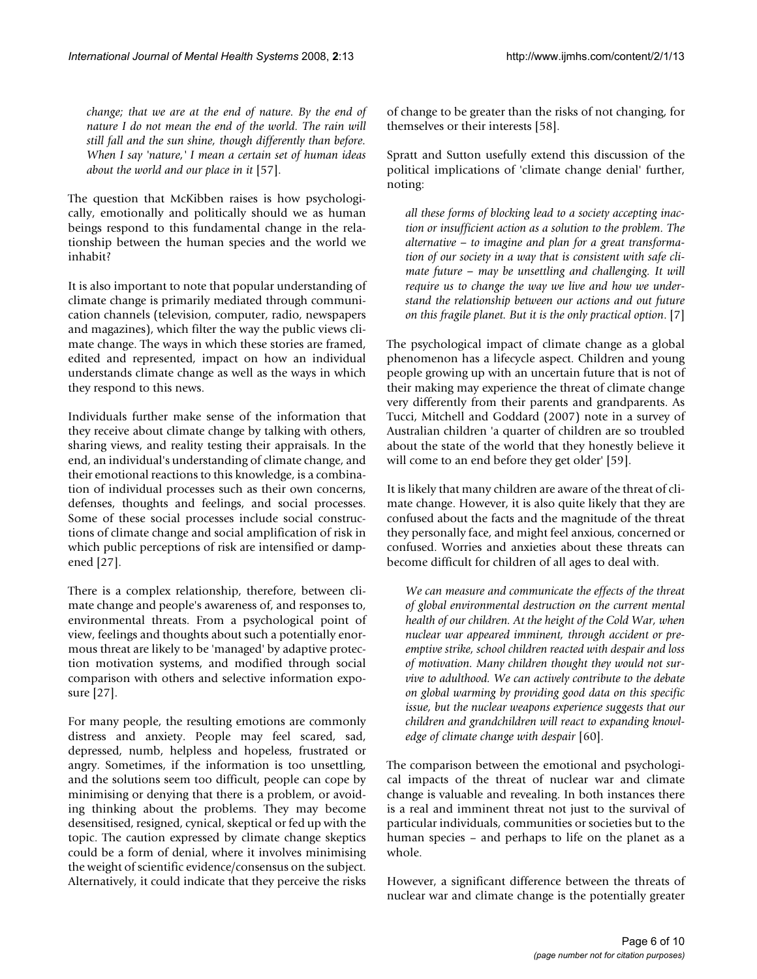*change; that we are at the end of nature. By the end of nature I do not mean the end of the world. The rain will still fall and the sun shine, though differently than before. When I say 'nature,' I mean a certain set of human ideas about the world and our place in it* [57].

The question that McKibben raises is how psychologically, emotionally and politically should we as human beings respond to this fundamental change in the relationship between the human species and the world we inhabit?

It is also important to note that popular understanding of climate change is primarily mediated through communication channels (television, computer, radio, newspapers and magazines), which filter the way the public views climate change. The ways in which these stories are framed, edited and represented, impact on how an individual understands climate change as well as the ways in which they respond to this news.

Individuals further make sense of the information that they receive about climate change by talking with others, sharing views, and reality testing their appraisals. In the end, an individual's understanding of climate change, and their emotional reactions to this knowledge, is a combination of individual processes such as their own concerns, defenses, thoughts and feelings, and social processes. Some of these social processes include social constructions of climate change and social amplification of risk in which public perceptions of risk are intensified or dampened [27].

There is a complex relationship, therefore, between climate change and people's awareness of, and responses to, environmental threats. From a psychological point of view, feelings and thoughts about such a potentially enormous threat are likely to be 'managed' by adaptive protection motivation systems, and modified through social comparison with others and selective information exposure [27].

For many people, the resulting emotions are commonly distress and anxiety. People may feel scared, sad, depressed, numb, helpless and hopeless, frustrated or angry. Sometimes, if the information is too unsettling, and the solutions seem too difficult, people can cope by minimising or denying that there is a problem, or avoiding thinking about the problems. They may become desensitised, resigned, cynical, skeptical or fed up with the topic. The caution expressed by climate change skeptics could be a form of denial, where it involves minimising the weight of scientific evidence/consensus on the subject. Alternatively, it could indicate that they perceive the risks of change to be greater than the risks of not changing, for themselves or their interests [58].

Spratt and Sutton usefully extend this discussion of the political implications of 'climate change denial' further, noting:

*all these forms of blocking lead to a society accepting inaction or insufficient action as a solution to the problem. The alternative – to imagine and plan for a great transformation of our society in a way that is consistent with safe climate future – may be unsettling and challenging. It will require us to change the way we live and how we understand the relationship between our actions and out future on this fragile planet. But it is the only practical option*. [7]

The psychological impact of climate change as a global phenomenon has a lifecycle aspect. Children and young people growing up with an uncertain future that is not of their making may experience the threat of climate change very differently from their parents and grandparents. As Tucci, Mitchell and Goddard (2007) note in a survey of Australian children 'a quarter of children are so troubled about the state of the world that they honestly believe it will come to an end before they get older' [59].

It is likely that many children are aware of the threat of climate change. However, it is also quite likely that they are confused about the facts and the magnitude of the threat they personally face, and might feel anxious, concerned or confused. Worries and anxieties about these threats can become difficult for children of all ages to deal with.

*We can measure and communicate the effects of the threat of global environmental destruction on the current mental health of our children. At the height of the Cold War, when nuclear war appeared imminent, through accident or preemptive strike, school children reacted with despair and loss of motivation. Many children thought they would not survive to adulthood. We can actively contribute to the debate on global warming by providing good data on this specific issue, but the nuclear weapons experience suggests that our children and grandchildren will react to expanding knowledge of climate change with despair* [60].

The comparison between the emotional and psychological impacts of the threat of nuclear war and climate change is valuable and revealing. In both instances there is a real and imminent threat not just to the survival of particular individuals, communities or societies but to the human species – and perhaps to life on the planet as a whole.

However, a significant difference between the threats of nuclear war and climate change is the potentially greater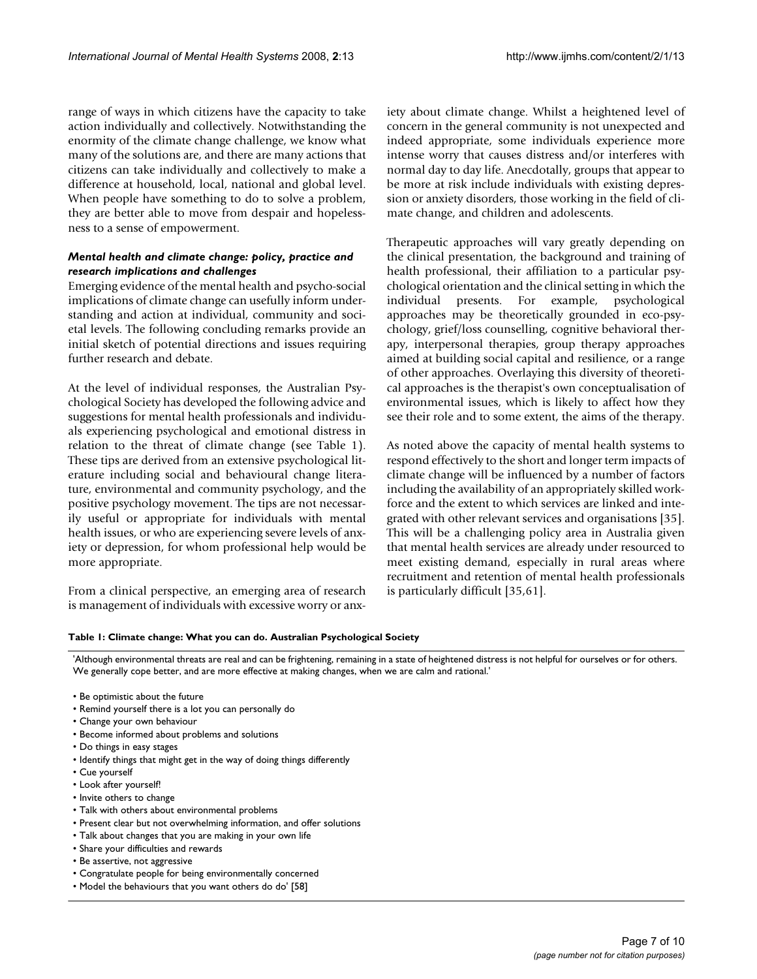range of ways in which citizens have the capacity to take action individually and collectively. Notwithstanding the enormity of the climate change challenge, we know what many of the solutions are, and there are many actions that citizens can take individually and collectively to make a difference at household, local, national and global level. When people have something to do to solve a problem, they are better able to move from despair and hopelessness to a sense of empowerment.

#### *Mental health and climate change: policy, practice and research implications and challenges*

Emerging evidence of the mental health and psycho-social implications of climate change can usefully inform understanding and action at individual, community and societal levels. The following concluding remarks provide an initial sketch of potential directions and issues requiring further research and debate.

At the level of individual responses, the Australian Psychological Society has developed the following advice and suggestions for mental health professionals and individuals experiencing psychological and emotional distress in relation to the threat of climate change (see Table 1). These tips are derived from an extensive psychological literature including social and behavioural change literature, environmental and community psychology, and the positive psychology movement. The tips are not necessarily useful or appropriate for individuals with mental health issues, or who are experiencing severe levels of anxiety or depression, for whom professional help would be more appropriate.

From a clinical perspective, an emerging area of research is management of individuals with excessive worry or anxiety about climate change. Whilst a heightened level of concern in the general community is not unexpected and indeed appropriate, some individuals experience more intense worry that causes distress and/or interferes with normal day to day life. Anecdotally, groups that appear to be more at risk include individuals with existing depression or anxiety disorders, those working in the field of climate change, and children and adolescents.

Therapeutic approaches will vary greatly depending on the clinical presentation, the background and training of health professional, their affiliation to a particular psychological orientation and the clinical setting in which the individual presents. For example, psychological approaches may be theoretically grounded in eco-psychology, grief/loss counselling, cognitive behavioral therapy, interpersonal therapies, group therapy approaches aimed at building social capital and resilience, or a range of other approaches. Overlaying this diversity of theoretical approaches is the therapist's own conceptualisation of environmental issues, which is likely to affect how they see their role and to some extent, the aims of the therapy.

As noted above the capacity of mental health systems to respond effectively to the short and longer term impacts of climate change will be influenced by a number of factors including the availability of an appropriately skilled workforce and the extent to which services are linked and integrated with other relevant services and organisations [35]. This will be a challenging policy area in Australia given that mental health services are already under resourced to meet existing demand, especially in rural areas where recruitment and retention of mental health professionals is particularly difficult [35,61].

#### **Table 1: Climate change: What you can do. Australian Psychological Society**

'Although environmental threats are real and can be frightening, remaining in a state of heightened distress is not helpful for ourselves or for others. We generally cope better, and are more effective at making changes, when we are calm and rational.'

- Be optimistic about the future
- Remind yourself there is a lot you can personally do
- Change your own behaviour
- Become informed about problems and solutions
- Do things in easy stages
- Identify things that might get in the way of doing things differently
- Cue yourself
- Look after yourself!
- Invite others to change
- Talk with others about environmental problems
- Present clear but not overwhelming information, and offer solutions
- Talk about changes that you are making in your own life
- Share your difficulties and rewards
- Be assertive, not aggressive
- Congratulate people for being environmentally concerned
- Model the behaviours that you want others do do' [58]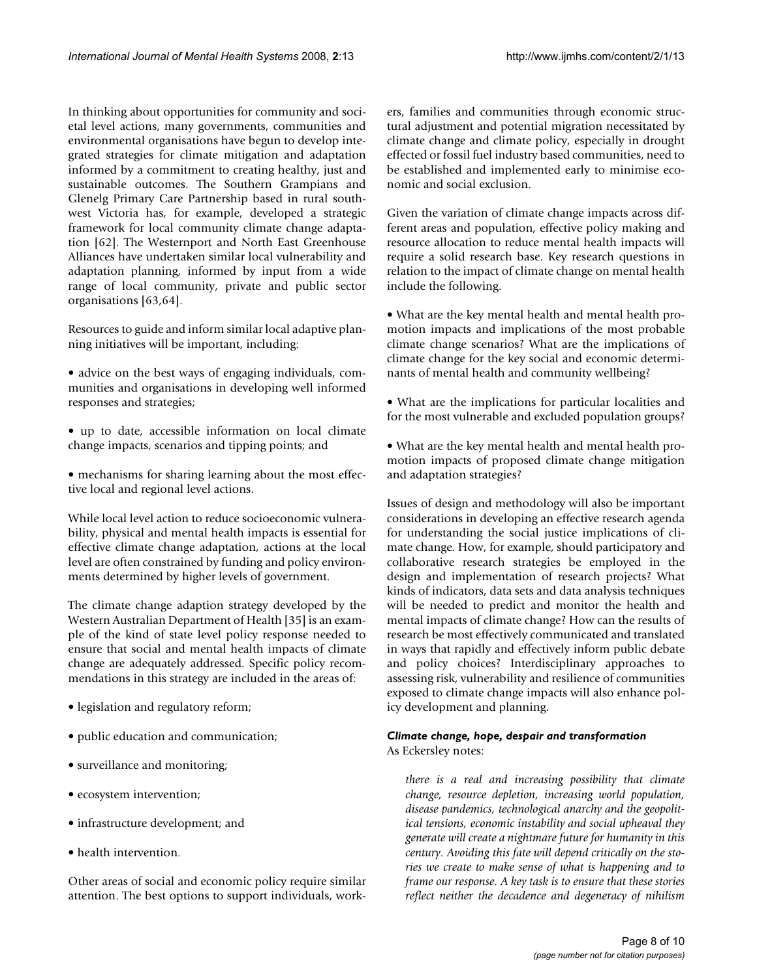In thinking about opportunities for community and societal level actions, many governments, communities and environmental organisations have begun to develop integrated strategies for climate mitigation and adaptation informed by a commitment to creating healthy, just and sustainable outcomes. The Southern Grampians and Glenelg Primary Care Partnership based in rural southwest Victoria has, for example, developed a strategic framework for local community climate change adaptation [62]. The Westernport and North East Greenhouse Alliances have undertaken similar local vulnerability and adaptation planning, informed by input from a wide range of local community, private and public sector organisations [63,64].

Resources to guide and inform similar local adaptive planning initiatives will be important, including:

- advice on the best ways of engaging individuals, communities and organisations in developing well informed responses and strategies;
- up to date, accessible information on local climate change impacts, scenarios and tipping points; and
- mechanisms for sharing learning about the most effective local and regional level actions.

While local level action to reduce socioeconomic vulnerability, physical and mental health impacts is essential for effective climate change adaptation, actions at the local level are often constrained by funding and policy environments determined by higher levels of government.

The climate change adaption strategy developed by the Western Australian Department of Health [35] is an example of the kind of state level policy response needed to ensure that social and mental health impacts of climate change are adequately addressed. Specific policy recommendations in this strategy are included in the areas of:

- legislation and regulatory reform;
- public education and communication;
- surveillance and monitoring;
- ecosystem intervention;
- infrastructure development; and
- health intervention.

Other areas of social and economic policy require similar attention. The best options to support individuals, workers, families and communities through economic structural adjustment and potential migration necessitated by climate change and climate policy, especially in drought effected or fossil fuel industry based communities, need to be established and implemented early to minimise economic and social exclusion.

Given the variation of climate change impacts across different areas and population, effective policy making and resource allocation to reduce mental health impacts will require a solid research base. Key research questions in relation to the impact of climate change on mental health include the following.

• What are the key mental health and mental health promotion impacts and implications of the most probable climate change scenarios? What are the implications of climate change for the key social and economic determinants of mental health and community wellbeing?

• What are the implications for particular localities and for the most vulnerable and excluded population groups?

• What are the key mental health and mental health promotion impacts of proposed climate change mitigation and adaptation strategies?

Issues of design and methodology will also be important considerations in developing an effective research agenda for understanding the social justice implications of climate change. How, for example, should participatory and collaborative research strategies be employed in the design and implementation of research projects? What kinds of indicators, data sets and data analysis techniques will be needed to predict and monitor the health and mental impacts of climate change? How can the results of research be most effectively communicated and translated in ways that rapidly and effectively inform public debate and policy choices? Interdisciplinary approaches to assessing risk, vulnerability and resilience of communities exposed to climate change impacts will also enhance policy development and planning.

#### *Climate change, hope, despair and transformation* As Eckersley notes:

*there is a real and increasing possibility that climate change, resource depletion, increasing world population, disease pandemics, technological anarchy and the geopolitical tensions, economic instability and social upheaval they generate will create a nightmare future for humanity in this century. Avoiding this fate will depend critically on the stories we create to make sense of what is happening and to frame our response. A key task is to ensure that these stories reflect neither the decadence and degeneracy of nihilism*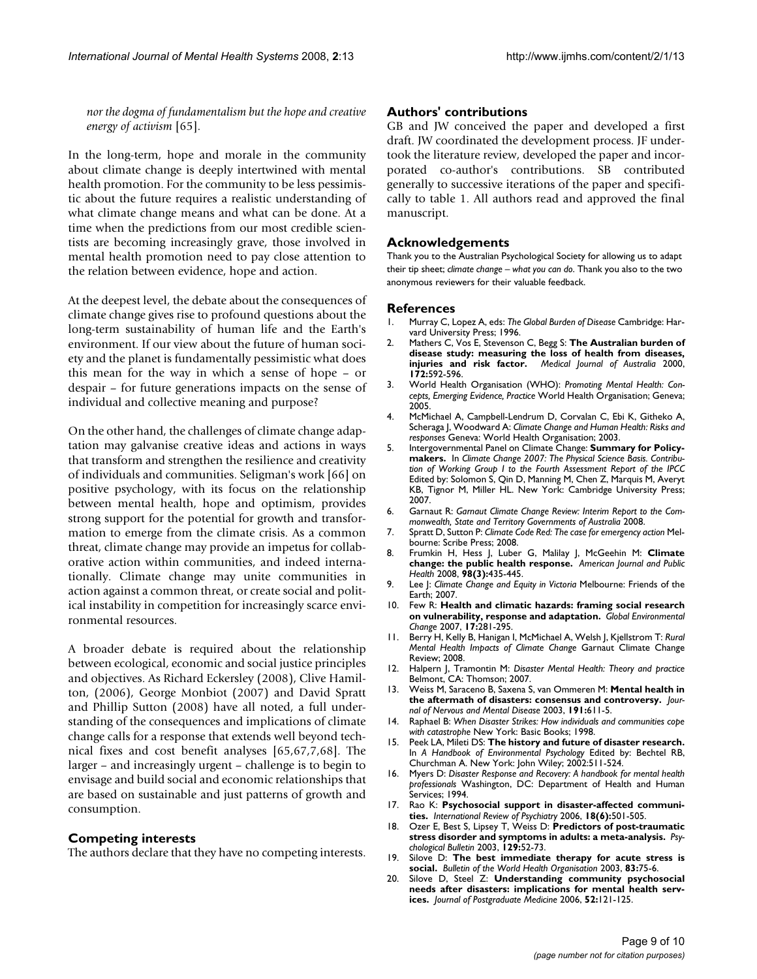*nor the dogma of fundamentalism but the hope and creative energy of activism* [65].

In the long-term, hope and morale in the community about climate change is deeply intertwined with mental health promotion. For the community to be less pessimistic about the future requires a realistic understanding of what climate change means and what can be done. At a time when the predictions from our most credible scientists are becoming increasingly grave, those involved in mental health promotion need to pay close attention to the relation between evidence, hope and action.

At the deepest level, the debate about the consequences of climate change gives rise to profound questions about the long-term sustainability of human life and the Earth's environment. If our view about the future of human society and the planet is fundamentally pessimistic what does this mean for the way in which a sense of hope – or despair – for future generations impacts on the sense of individual and collective meaning and purpose?

On the other hand, the challenges of climate change adaptation may galvanise creative ideas and actions in ways that transform and strengthen the resilience and creativity of individuals and communities. Seligman's work [66] on positive psychology, with its focus on the relationship between mental health, hope and optimism, provides strong support for the potential for growth and transformation to emerge from the climate crisis. As a common threat, climate change may provide an impetus for collaborative action within communities, and indeed internationally. Climate change may unite communities in action against a common threat, or create social and political instability in competition for increasingly scarce environmental resources.

A broader debate is required about the relationship between ecological, economic and social justice principles and objectives. As Richard Eckersley (2008), Clive Hamilton, (2006), George Monbiot (2007) and David Spratt and Phillip Sutton (2008) have all noted, a full understanding of the consequences and implications of climate change calls for a response that extends well beyond technical fixes and cost benefit analyses [65,67,7,68]. The larger – and increasingly urgent – challenge is to begin to envisage and build social and economic relationships that are based on sustainable and just patterns of growth and consumption.

#### **Competing interests**

The authors declare that they have no competing interests.

#### **Authors' contributions**

GB and JW conceived the paper and developed a first draft. JW coordinated the development process. JF undertook the literature review, developed the paper and incorporated co-author's contributions. SB contributed generally to successive iterations of the paper and specifically to table 1. All authors read and approved the final manuscript.

#### **Acknowledgements**

Thank you to the Australian Psychological Society for allowing us to adapt their tip sheet; *climate change – what you can do*. Thank you also to the two anonymous reviewers for their valuable feedback.

#### **References**

- 1. Murray C, Lopez A, eds: *The Global Burden of Disease* Cambridge: Harvard University Press; 1996.
- 2. Mathers C, Vos E, Stevenson C, Begg S: **[The Australian burden of](http://www.ncbi.nlm.nih.gov/entrez/query.fcgi?cmd=Retrieve&db=PubMed&dopt=Abstract&list_uids=10914105) [disease study: measuring the loss of health from diseases,](http://www.ncbi.nlm.nih.gov/entrez/query.fcgi?cmd=Retrieve&db=PubMed&dopt=Abstract&list_uids=10914105) [injuries and risk factor.](http://www.ncbi.nlm.nih.gov/entrez/query.fcgi?cmd=Retrieve&db=PubMed&dopt=Abstract&list_uids=10914105)** *Medical Journal of Australia* 2000, **172:**592-596.
- 3. World Health Organisation (WHO): *Promoting Mental Health: Concepts, Emerging Evidence, Practice* World Health Organisation; Geneva; 2005.
- 4. McMichael A, Campbell-Lendrum D, Corvalan C, Ebi K, Githeko A, Scheraga J, Woodward A: *Climate Change and Human Health: Risks and responses* Geneva: World Health Organisation; 2003.
- 5. Intergovernmental Panel on Climate Change: **Summary for Policymakers.** In *Climate Change 2007: The Physical Science Basis. Contribution of Working Group I to the Fourth Assessment Report of the IPCC* Edited by: Solomon S, Qin D, Manning M, Chen Z, Marquis M, Averyt KB, Tignor M, Miller HL. New York: Cambridge University Press; 2007.
- 6. Garnaut R: *Garnaut Climate Change Review: Interim Report to the Commonwealth, State and Territory Governments of Australia* 2008.
- 7. Spratt D, Sutton P: *Climate Code Red: The case for emergency action* Melbourne: Scribe Press; 2008.
- 8. Frumkin H, Hess J, Luber G, Malilay J, McGeehin M: **Climate change: the public health response.** *American Journal and Public Health* 2008, **98(3):**435-445.
- 9. Lee J: *Climate Change and Equity in Victoria* Melbourne: Friends of the Earth; 2007.
- 10. Few R: **Health and climatic hazards: framing social research on vulnerability, response and adaptation.** *Global Environmental Change* 2007, **17:**281-295.
- 11. Berry H, Kelly B, Hanigan I, McMichael A, Welsh J, Kjellstrom T: *Rural Mental Health Impacts of Climate Change* Garnaut Climate Change Review; 2008.
- 12. Halpern J, Tramontin M: *Disaster Mental Health: Theory and practice* Belmont, CA: Thomson; 2007.
- 13. Weiss M, Saraceno B, Saxena S, van Ommeren M: **Mental health in the aftermath of disasters: consensus and controversy.** *Journal of Nervous and Mental Disease* 2003, **191:**611-5.
- 14. Raphael B: *When Disaster Strikes: How individuals and communities cope with catastrophe* New York: Basic Books; 1998.
- 15. Peek LA, Mileti DS: **The history and future of disaster research.** In *A Handbook of Environmental Psychology* Edited by: Bechtel RB, Churchman A. New York: John Wiley; 2002:511-524.
- 16. Myers D: *Disaster Response and Recovery: A handbook for mental health professionals* Washington, DC: Department of Health and Human Services; 1994.
- 17. Rao K: **[Psychosocial support in disaster-affected communi](http://www.ncbi.nlm.nih.gov/entrez/query.fcgi?cmd=Retrieve&db=PubMed&dopt=Abstract&list_uids=17162689)[ties.](http://www.ncbi.nlm.nih.gov/entrez/query.fcgi?cmd=Retrieve&db=PubMed&dopt=Abstract&list_uids=17162689)** *International Review of Psychiatry* 2006, **18(6):**501-505.
- 18. Ozer E, Best S, Lipsey T, Weiss D: **[Predictors of post-traumatic](http://www.ncbi.nlm.nih.gov/entrez/query.fcgi?cmd=Retrieve&db=PubMed&dopt=Abstract&list_uids=12555794) [stress disorder and symptoms in adults: a meta-analysis.](http://www.ncbi.nlm.nih.gov/entrez/query.fcgi?cmd=Retrieve&db=PubMed&dopt=Abstract&list_uids=12555794)** *Psychological Bulletin* 2003, **129:**52-73.
- 19. Silove D: **The best immediate therapy for acute stress is social.** *Bulletin of the World Health Organisation* 2003, **83:**75-6.
- 20. Silove D, Steel Z: **[Understanding community psychosocial](http://www.ncbi.nlm.nih.gov/entrez/query.fcgi?cmd=Retrieve&db=PubMed&dopt=Abstract&list_uids=16679676) [needs after disasters: implications for mental health serv](http://www.ncbi.nlm.nih.gov/entrez/query.fcgi?cmd=Retrieve&db=PubMed&dopt=Abstract&list_uids=16679676)[ices.](http://www.ncbi.nlm.nih.gov/entrez/query.fcgi?cmd=Retrieve&db=PubMed&dopt=Abstract&list_uids=16679676)** *Journal of Postgraduate Medicine* 2006, **52:**121-125.